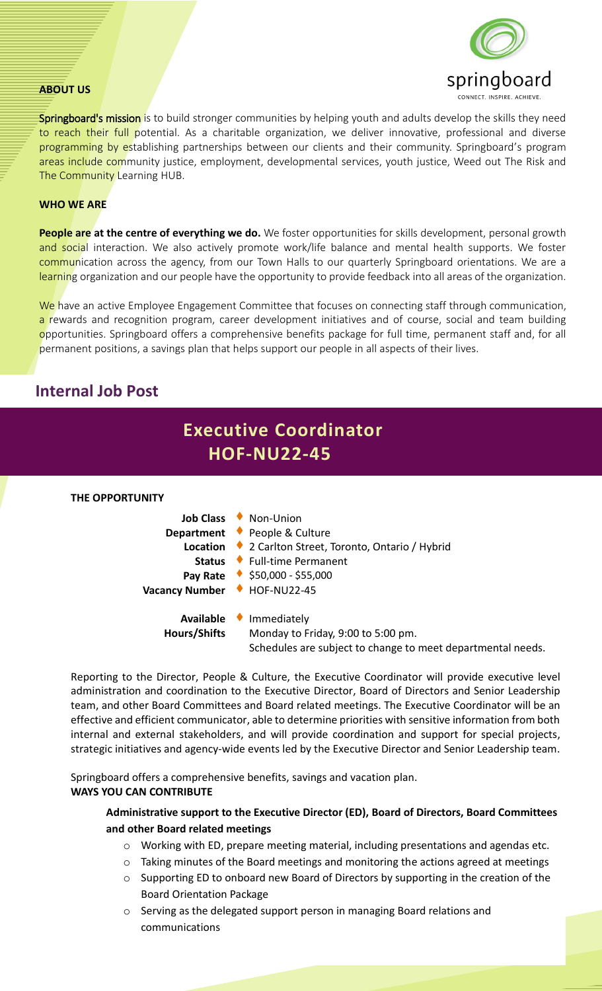#### **ABOUT US**



**Springboard's mission** is to build stronger communities by helping youth and adults develop the skills they need to reach their full potential. As a charitable organization, we deliver innovative, professional and diverse programming by establishing partnerships between our clients and their community. Springboard's program areas include community justice, employment, developmental services, youth justice, Weed out The Risk and The Community Learning HUB.

#### **WHO WE ARE**

**People are at the centre of everything we do.** We foster opportunities for skills development, personal growth and social interaction. We also actively promote work/life balance and mental health supports. We foster communication across the agency, from our Town Halls to our quarterly Springboard orientations. We are a learning organization and our people have the opportunity to provide feedback into all areas of the organization.

We have an active Employee Engagement Committee that focuses on connecting staff through communication, a rewards and recognition program, career development initiatives and of course, social and team building opportunities. Springboard offers a comprehensive benefits package for full time, permanent staff and, for all permanent positions, a savings plan that helps support our people in all aspects of their lives.

## **Internal Job Post**

# **Executive Coordinator HOF-NU22-45**

#### **THE OPPORTUNITY**

|                              | Job Class • Non-Union                                                                                                      |
|------------------------------|----------------------------------------------------------------------------------------------------------------------------|
|                              | Department • People & Culture                                                                                              |
|                              | Location ♦ 2 Carlton Street, Toronto, Ontario / Hybrid                                                                     |
|                              | Status ♦ Full-time Permanent                                                                                               |
|                              | Pay Rate $\bullet$ \$50,000 - \$55,000                                                                                     |
| Vacancy Number + HOF-NU22-45 |                                                                                                                            |
| <b>Hours/Shifts</b>          | Available Immediately<br>Monday to Friday, 9:00 to 5:00 pm.<br>Schedules are subject to change to meet departmental needs. |

Reporting to the Director, People & Culture, the Executive Coordinator will provide executive level administration and coordination to the Executive Director, Board of Directors and Senior Leadership team, and other Board Committees and Board related meetings. The Executive Coordinator will be an effective and efficient communicator, able to determine priorities with sensitive information from both internal and external stakeholders, and will provide coordination and support for special projects, strategic initiatives and agency-wide events led by the Executive Director and Senior Leadership team.

Springboard offers a comprehensive benefits, savings and vacation plan. **WAYS YOU CAN CONTRIBUTE**

#### **Administrative support to the Executive Director (ED), Board of Directors, Board Committees and other Board related meetings**

- o Working with ED, prepare meeting material, including presentations and agendas etc.
- o Taking minutes of the Board meetings and monitoring the actions agreed at meetings
- o Supporting ED to onboard new Board of Directors by supporting in the creation of the Board Orientation Package
- o Serving as the delegated support person in managing Board relations and communications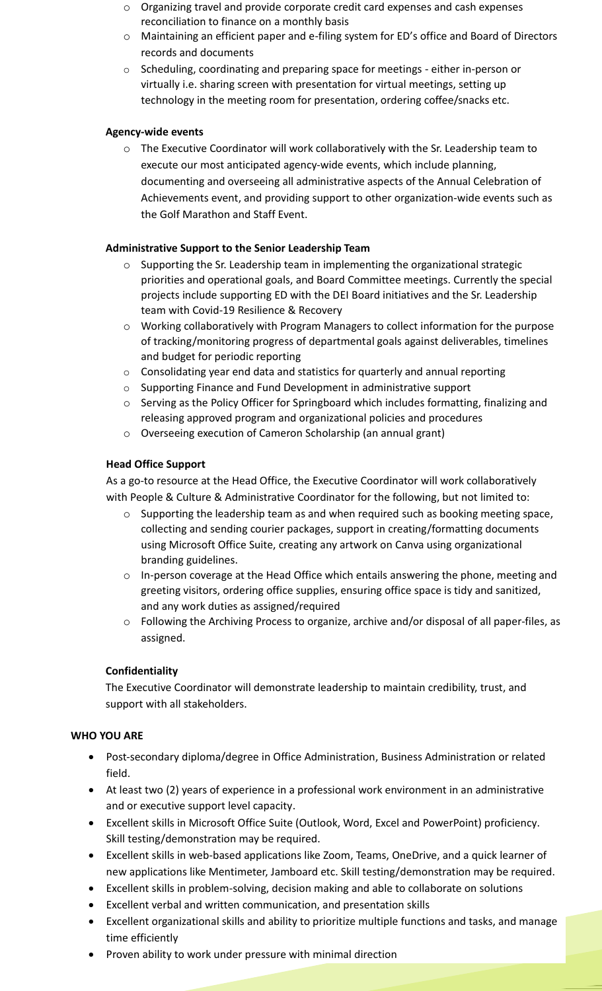- o Organizing travel and provide corporate credit card expenses and cash expenses reconciliation to finance on a monthly basis
- o Maintaining an efficient paper and e-filing system for ED's office and Board of Directors records and documents
- o Scheduling, coordinating and preparing space for meetings either in-person or virtually i.e. sharing screen with presentation for virtual meetings, setting up technology in the meeting room for presentation, ordering coffee/snacks etc.

### **Agency-wide events**

o The Executive Coordinator will work collaboratively with the Sr. Leadership team to execute our most anticipated agency-wide events, which include planning, documenting and overseeing all administrative aspects of the Annual Celebration of Achievements event, and providing support to other organization-wide events such as the Golf Marathon and Staff Event.

## **Administrative Support to the Senior Leadership Team**

- o Supporting the Sr. Leadership team in implementing the organizational strategic priorities and operational goals, and Board Committee meetings. Currently the special projects include supporting ED with the DEI Board initiatives and the Sr. Leadership team with Covid-19 Resilience & Recovery
- o Working collaboratively with Program Managers to collect information for the purpose of tracking/monitoring progress of departmental goals against deliverables, timelines and budget for periodic reporting
- o Consolidating year end data and statistics for quarterly and annual reporting
- o Supporting Finance and Fund Development in administrative support
- o Serving as the Policy Officer for Springboard which includes formatting, finalizing and releasing approved program and organizational policies and procedures
- o Overseeing execution of Cameron Scholarship (an annual grant)

## **Head Office Support**

As a go-to resource at the Head Office, the Executive Coordinator will work collaboratively with People & Culture & Administrative Coordinator for the following, but not limited to:

- $\circ$  Supporting the leadership team as and when required such as booking meeting space, collecting and sending courier packages, support in creating/formatting documents using Microsoft Office Suite, creating any artwork on Canva using organizational branding guidelines.
- o In-person coverage at the Head Office which entails answering the phone, meeting and greeting visitors, ordering office supplies, ensuring office space is tidy and sanitized, and any work duties as assigned/required
- o Following the Archiving Process to organize, archive and/or disposal of all paper-files, as assigned.

## **Confidentiality**

The Executive Coordinator will demonstrate leadership to maintain credibility, trust, and support with all stakeholders.

#### **WHO YOU ARE**

- Post-secondary diploma/degree in Office Administration, Business Administration or related field.
- At least two (2) years of experience in a professional work environment in an administrative and or executive support level capacity.
- Excellent skills in Microsoft Office Suite (Outlook, Word, Excel and PowerPoint) proficiency. Skill testing/demonstration may be required.
- Excellent skills in web-based applications like Zoom, Teams, OneDrive, and a quick learner of new applications like Mentimeter, Jamboard etc. Skill testing/demonstration may be required.
- Excellent skills in problem-solving, decision making and able to collaborate on solutions
- Excellent verbal and written communication, and presentation skills
- Excellent organizational skills and ability to prioritize multiple functions and tasks, and manage time efficiently
- Proven ability to work under pressure with minimal direction